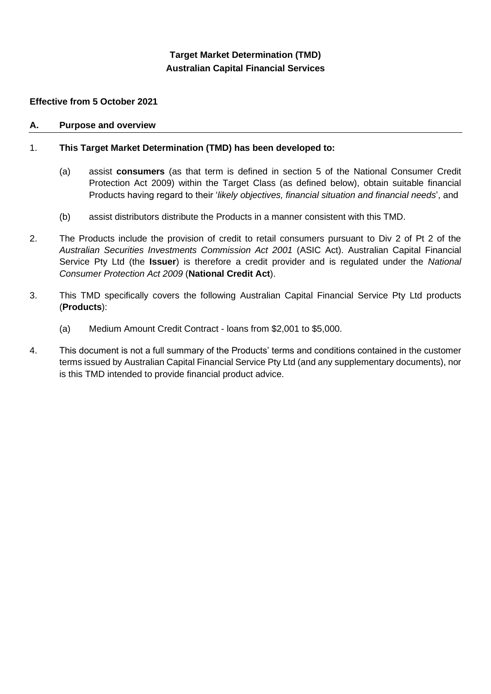# **Target Market Determination (TMD) Australian Capital Financial Services**

### **Effective from 5 October 2021**

#### **A. Purpose and overview**

### 1. **This Target Market Determination (TMD) has been developed to:**

- (a) assist **consumers** (as that term is defined in section 5 of the National Consumer Credit Protection Act 2009) within the Target Class (as defined below), obtain suitable financial Products having regard to their '*likely objectives, financial situation and financial needs*', and
- (b) assist distributors distribute the Products in a manner consistent with this TMD.
- 2. The Products include the provision of credit to retail consumers pursuant to Div 2 of Pt 2 of the *Australian Securities Investments Commission Act 2001* (ASIC Act). Australian Capital Financial Service Pty Ltd (the **Issuer**) is therefore a credit provider and is regulated under the *National Consumer Protection Act 2009* (**National Credit Act**).
- 3. This TMD specifically covers the following Australian Capital Financial Service Pty Ltd products (**Products**):
	- (a) Medium Amount Credit Contract loans from \$2,001 to \$5,000.
- 4. This document is not a full summary of the Products' terms and conditions contained in the customer terms issued by Australian Capital Financial Service Pty Ltd (and any supplementary documents), nor is this TMD intended to provide financial product advice.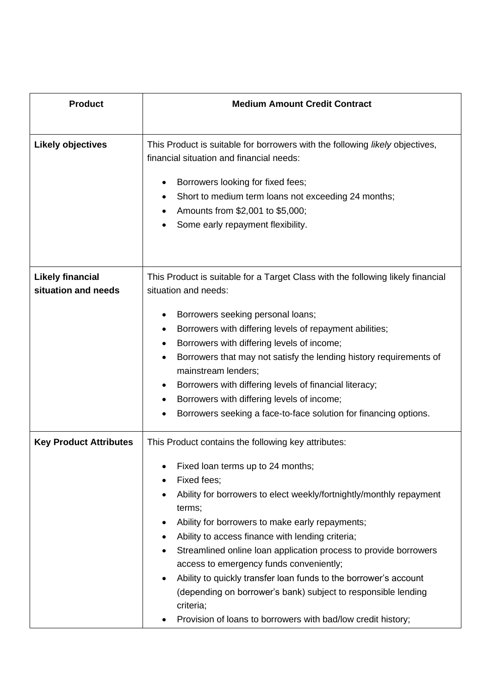| <b>Product</b>                                 | <b>Medium Amount Credit Contract</b>                                                                                                                                                                                                                                                                                                                                                                                                                                                                                                                                                                                                          |
|------------------------------------------------|-----------------------------------------------------------------------------------------------------------------------------------------------------------------------------------------------------------------------------------------------------------------------------------------------------------------------------------------------------------------------------------------------------------------------------------------------------------------------------------------------------------------------------------------------------------------------------------------------------------------------------------------------|
| <b>Likely objectives</b>                       | This Product is suitable for borrowers with the following likely objectives,<br>financial situation and financial needs:                                                                                                                                                                                                                                                                                                                                                                                                                                                                                                                      |
|                                                | Borrowers looking for fixed fees;<br>Short to medium term loans not exceeding 24 months;<br>Amounts from \$2,001 to \$5,000;<br>Some early repayment flexibility.                                                                                                                                                                                                                                                                                                                                                                                                                                                                             |
| <b>Likely financial</b><br>situation and needs | This Product is suitable for a Target Class with the following likely financial<br>situation and needs:                                                                                                                                                                                                                                                                                                                                                                                                                                                                                                                                       |
|                                                | Borrowers seeking personal loans;<br>Borrowers with differing levels of repayment abilities;<br>Borrowers with differing levels of income;<br>Borrowers that may not satisfy the lending history requirements of<br>mainstream lenders;<br>Borrowers with differing levels of financial literacy;<br>Borrowers with differing levels of income;<br>Borrowers seeking a face-to-face solution for financing options.                                                                                                                                                                                                                           |
| <b>Key Product Attributes</b>                  | This Product contains the following key attributes:<br>Fixed loan terms up to 24 months;<br>Fixed fees;<br>Ability for borrowers to elect weekly/fortnightly/monthly repayment<br>terms;<br>Ability for borrowers to make early repayments;<br>Ability to access finance with lending criteria;<br>Streamlined online loan application process to provide borrowers<br>access to emergency funds conveniently;<br>Ability to quickly transfer loan funds to the borrower's account<br>$\bullet$<br>(depending on borrower's bank) subject to responsible lending<br>criteria;<br>Provision of loans to borrowers with bad/low credit history; |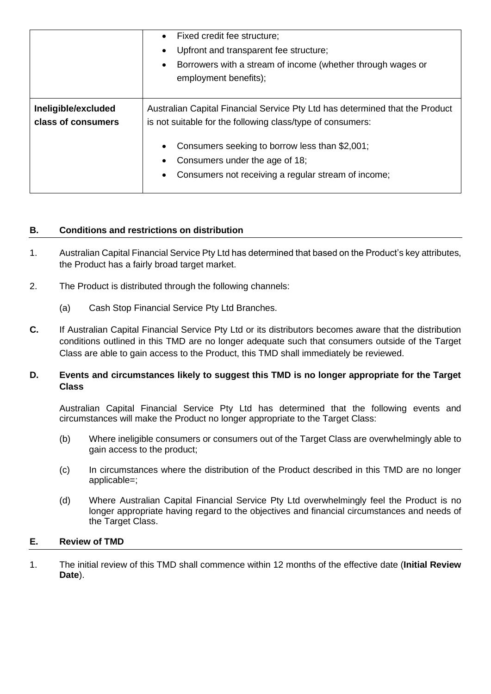|                                           | Fixed credit fee structure;<br>Upfront and transparent fee structure;<br>Borrowers with a stream of income (whether through wages or<br>$\bullet$<br>employment benefits); |
|-------------------------------------------|----------------------------------------------------------------------------------------------------------------------------------------------------------------------------|
| Ineligible/excluded<br>class of consumers | Australian Capital Financial Service Pty Ltd has determined that the Product<br>is not suitable for the following class/type of consumers:                                 |
|                                           | Consumers seeking to borrow less than \$2,001;<br>Consumers under the age of 18;                                                                                           |
|                                           | Consumers not receiving a regular stream of income;<br>$\bullet$                                                                                                           |

## **B. Conditions and restrictions on distribution**

- 1. Australian Capital Financial Service Pty Ltd has determined that based on the Product's key attributes, the Product has a fairly broad target market.
- 2. The Product is distributed through the following channels:
	- (a) Cash Stop Financial Service Pty Ltd Branches.
- **C.** If Australian Capital Financial Service Pty Ltd or its distributors becomes aware that the distribution conditions outlined in this TMD are no longer adequate such that consumers outside of the Target Class are able to gain access to the Product, this TMD shall immediately be reviewed.

### **D. Events and circumstances likely to suggest this TMD is no longer appropriate for the Target Class**

Australian Capital Financial Service Pty Ltd has determined that the following events and circumstances will make the Product no longer appropriate to the Target Class:

- (b) Where ineligible consumers or consumers out of the Target Class are overwhelmingly able to gain access to the product;
- (c) In circumstances where the distribution of the Product described in this TMD are no longer applicable=;
- (d) Where Australian Capital Financial Service Pty Ltd overwhelmingly feel the Product is no longer appropriate having regard to the objectives and financial circumstances and needs of the Target Class.

### **E. Review of TMD**

1. The initial review of this TMD shall commence within 12 months of the effective date (**Initial Review Date**).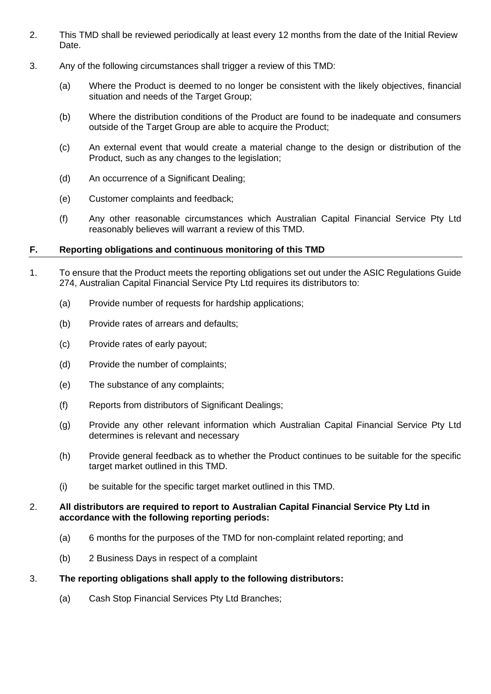- 2. This TMD shall be reviewed periodically at least every 12 months from the date of the Initial Review Date.
- 3. Any of the following circumstances shall trigger a review of this TMD:
	- (a) Where the Product is deemed to no longer be consistent with the likely objectives, financial situation and needs of the Target Group;
	- (b) Where the distribution conditions of the Product are found to be inadequate and consumers outside of the Target Group are able to acquire the Product;
	- (c) An external event that would create a material change to the design or distribution of the Product, such as any changes to the legislation;
	- (d) An occurrence of a Significant Dealing;
	- (e) Customer complaints and feedback;
	- (f) Any other reasonable circumstances which Australian Capital Financial Service Pty Ltd reasonably believes will warrant a review of this TMD.

#### **F. Reporting obligations and continuous monitoring of this TMD**

- 1. To ensure that the Product meets the reporting obligations set out under the ASIC Regulations Guide 274, Australian Capital Financial Service Pty Ltd requires its distributors to:
	- (a) Provide number of requests for hardship applications;
	- (b) Provide rates of arrears and defaults;
	- (c) Provide rates of early payout;
	- (d) Provide the number of complaints;
	- (e) The substance of any complaints;
	- (f) Reports from distributors of Significant Dealings;
	- (g) Provide any other relevant information which Australian Capital Financial Service Pty Ltd determines is relevant and necessary
	- (h) Provide general feedback as to whether the Product continues to be suitable for the specific target market outlined in this TMD.
	- (i) be suitable for the specific target market outlined in this TMD.

#### 2. **All distributors are required to report to Australian Capital Financial Service Pty Ltd in accordance with the following reporting periods:**

- (a) 6 months for the purposes of the TMD for non-complaint related reporting; and
- (b) 2 Business Days in respect of a complaint

#### 3. **The reporting obligations shall apply to the following distributors:**

(a) Cash Stop Financial Services Pty Ltd Branches;